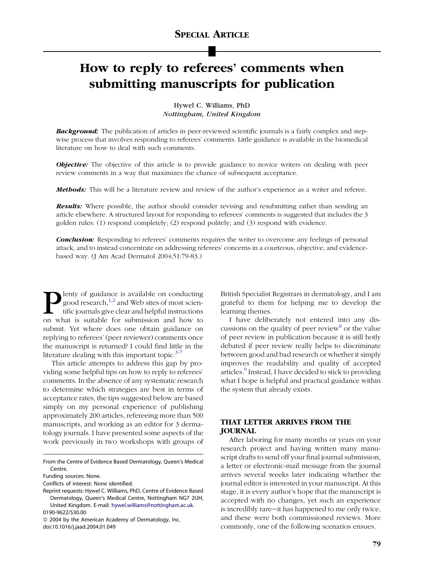# How to reply to referees' comments when submitting manuscripts for publication

Hywel C. Williams, PhD Nottingham, United Kingdom

**Background:** The publication of articles in peer-reviewed scientific journals is a fairly complex and stepwise process that involves responding to referees' comments. Little guidance is available in the biomedical literature on how to deal with such comments.

**Objective:** The objective of this article is to provide guidance to novice writers on dealing with peer review comments in a way that maximizes the chance of subsequent acceptance.

Methods: This will be a literature review and review of the author's experience as a writer and referee.

**Results:** Where possible, the author should consider revising and resubmitting rather than sending an article elsewhere. A structured layout for responding to referees' comments is suggested that includes the 3 golden rules: (1) respond completely; (2) respond politely; and (3) respond with evidence.

**Conclusion:** Responding to referees' comments requires the writer to overcome any feelings of personal attack, and to instead concentrate on addressing referees' concerns in a courteous, objective, and evidencebased way. (J Am Acad Dermatol 2004;51:79-83.)

**Plenty of guidance is available on conducting**<br>good research,<sup>1,2</sup> and Web sites of most scientific journals give clear and helpful instructions<br>on what is suitable for submission and how to good research,<sup>[1,2](#page-4-0)</sup> and Web sites of most scientific journals give clear and helpful instructions on what is suitable for submission and how to submit. Yet where does one obtain guidance on replying to referees' (peer reviewer) comments once the manuscript is returned? I could find little in the literature dealing with this important topic. $3-7$ 

This article attempts to address this gap by providing some helpful tips on how to reply to referees' comments. In the absence of any systematic research to determine which strategies are best in terms of acceptance rates, the tips suggested below are based simply on my personal experience of publishing approximately 200 articles, refereeing more than 500 manuscripts, and working as an editor for 3 dermatology journals. I have presented some aspects of the work previously in two workshops with groups of British Specialist Registrars in dermatology, and I am grateful to them for helping me to develop the learning themes.

I have deliberately not entered into any dis-cussions on the quality of peer review<sup>[8](#page-4-0)</sup> or the value of peer review in publication because it is still hotly debated if peer review really helps to discriminate between good and bad research or whether it simply improves the readability and quality of accepted articles.<sup>[9](#page-4-0)</sup> Instead, I have decided to stick to providing what I hope is helpful and practical guidance within the system that already exists.

# THAT LETTER ARRIVES FROM THE JOURNAL

After laboring for many months or years on your research project and having written many manuscript drafts to send off your final journal submission, a letter or electronic-mail message from the journal arrives several weeks later indicating whether the journal editor is interested in your manuscript. At this stage, it is every author's hope that the manuscript is accepted with no changes, yet such an experience is incredibly rare-it has happened to me only twice, and these were both commissioned reviews. More commonly, one of the following scenarios ensues.

From the Centre of Evidence Based Dermatology, Queen's Medical Centre.

Funding sources: None.

Conflicts of interest: None identified.

Reprint requests: Hywel C. Williams, PhD, Centre of Evidence Based Dermatology, Queen's Medical Centre, Nottingham NG7 2UH, United Kingdom. E-mail: [hywel.williams@nottingham.ac.uk.](mailto:hywel.williams@nottingham.ac.uk) 0190-9622/\$30.00

*ª* 2004 by the American Academy of Dermatology, Inc. doi:10.1016/j.jaad.2004.01.049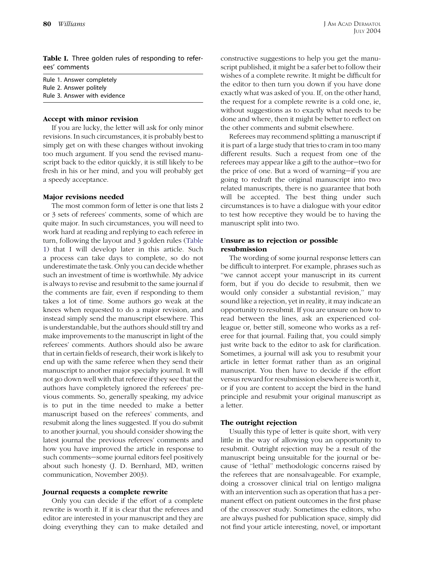Table I. Three golden rules of responding to referees' comments

| Rule 1. Answer completely    |
|------------------------------|
| Rule 2. Answer politely      |
| Rule 3. Answer with evidence |

## Accept with minor revision

If you are lucky, the letter will ask for only minor revisions. In such circumstances, it is probably best to simply get on with these changes without invoking too much argument. If you send the revised manuscript back to the editor quickly, it is still likely to be fresh in his or her mind, and you will probably get a speedy acceptance.

## Major revisions needed

The most common form of letter is one that lists 2 or 3 sets of referees' comments, some of which are quite major. In such circumstances, you will need to work hard at reading and replying to each referee in turn, following the layout and 3 golden rules (Table 1) that I will develop later in this article. Such a process can take days to complete, so do not underestimate the task. Only you can decide whether such an investment of time is worthwhile. My advice is always to revise and resubmit to the same journal if the comments are fair, even if responding to them takes a lot of time. Some authors go weak at the knees when requested to do a major revision, and instead simply send the manuscript elsewhere. This is understandable, but the authors should still try and make improvements to the manuscript in light of the referees' comments. Authors should also be aware that in certain fields of research, their work is likely to end up with the same referee when they send their manuscript to another major specialty journal. It will not go down well with that referee if they see that the authors have completely ignored the referees' previous comments. So, generally speaking, my advice is to put in the time needed to make a better manuscript based on the referees' comments, and resubmit along the lines suggested. If you do submit to another journal, you should consider showing the latest journal the previous referees' comments and how you have improved the article in response to such comments-some journal editors feel positively about such honesty (J. D. Bernhard, MD, written communication, November 2003).

#### Journal requests a complete rewrite

Only you can decide if the effort of a complete rewrite is worth it. If it is clear that the referees and editor are interested in your manuscript and they are doing everything they can to make detailed and

constructive suggestions to help you get the manuscript published, it might be a safer bet to follow their wishes of a complete rewrite. It might be difficult for the editor to then turn you down if you have done exactly what was asked of you. If, on the other hand, the request for a complete rewrite is a cold one, ie, without suggestions as to exactly what needs to be done and where, then it might be better to reflect on the other comments and submit elsewhere.

Referees may recommend splitting a manuscript if it is part of a large study that tries to cram in too many different results. Such a request from one of the referees may appear like a gift to the author-two for the price of one. But a word of warning-if you are going to redraft the original manuscript into two related manuscripts, there is no guarantee that both will be accepted. The best thing under such circumstances is to have a dialogue with your editor to test how receptive they would be to having the manuscript split into two.

# Unsure as to rejection or possible resubmission

The wording of some journal response letters can be difficult to interpret. For example, phrases such as ''we cannot accept your manuscript in its current form, but if you do decide to resubmit, then we would only consider a substantial revision,'' may sound like a rejection, yet in reality, it may indicate an opportunity to resubmit. If you are unsure on how to read between the lines, ask an experienced colleague or, better still, someone who works as a referee for that journal. Failing that, you could simply just write back to the editor to ask for clarification. Sometimes, a journal will ask you to resubmit your article in letter format rather than as an original manuscript. You then have to decide if the effort versus reward for resubmission elsewhere is worth it, or if you are content to accept the bird in the hand principle and resubmit your original manuscript as a letter.

## The outright rejection

Usually this type of letter is quite short, with very little in the way of allowing you an opportunity to resubmit. Outright rejection may be a result of the manuscript being unsuitable for the journal or because of ''lethal'' methodologic concerns raised by the referees that are nonsalvageable. For example, doing a crossover clinical trial on lentigo maligna with an intervention such as operation that has a permanent effect on patient outcomes in the first phase of the crossover study. Sometimes the editors, who are always pushed for publication space, simply did not find your article interesting, novel, or important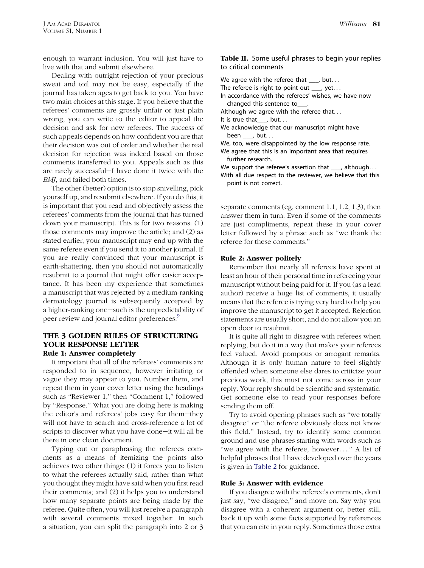enough to warrant inclusion. You will just have to live with that and submit elsewhere.

Dealing with outright rejection of your precious sweat and toil may not be easy, especially if the journal has taken ages to get back to you. You have two main choices at this stage. If you believe that the referees' comments are grossly unfair or just plain wrong, you can write to the editor to appeal the decision and ask for new referees. The success of such appeals depends on how confident you are that their decision was out of order and whether the real decision for rejection was indeed based on those comments transferred to you. Appeals such as this are rarely successful-I have done it twice with the BMJ, and failed both times.

The other (better) option is to stop snivelling, pick yourself up, and resubmit elsewhere. If you do this, it is important that you read and objectively assess the referees' comments from the journal that has turned down your manuscript. This is for two reasons: (1) those comments may improve the article; and (2) as stated earlier, your manuscript may end up with the same referee even if you send it to another journal. If you are really convinced that your manuscript is earth-shattering, then you should not automatically resubmit to a journal that might offer easier acceptance. It has been my experience that sometimes a manuscript that was rejected by a medium-ranking dermatology journal is subsequently accepted by a higher-ranking one—such is the unpredictability of peer review and journal editor preferences.<sup>9</sup>

# THE 3 GOLDEN RULES OF STRUCTURING YOUR RESPONSE LETTER Rule 1: Answer completely

It important that all of the referees' comments are responded to in sequence, however irritating or vague they may appear to you. Number them, and repeat them in your cover letter using the headings such as "Reviewer 1," then "Comment 1," followed by ''Response.'' What you are doing here is making the editor's and referees' jobs easy for them-they will not have to search and cross-reference a lot of scripts to discover what you have done-it will all be there in one clean document.

Typing out or paraphrasing the referees comments as a means of itemizing the points also achieves two other things: (1) it forces you to listen to what the referees actually said, rather than what you thought they might have said when you first read their comments; and (2) it helps you to understand how many separate points are being made by the referee. Quite often, you will just receive a paragraph with several comments mixed together. In such a situation, you can split the paragraph into 2 or 3

| We agree with the referee that $\qquad$ , but                                       |
|-------------------------------------------------------------------------------------|
| The referee is right to point out $\_\_\$ yet                                       |
| In accordance with the referees' wishes, we have now<br>changed this sentence to .  |
| Although we agree with the referee that                                             |
| It is true that $\qquad$ , but                                                      |
| We acknowledge that our manuscript might have<br>been $\quad$ , but                 |
| We, too, were disappointed by the low response rate.                                |
| We agree that this is an important area that requires<br>further research.          |
| We support the referee's assertion that $\Box$ , although                           |
| With all due respect to the reviewer, we believe that this<br>point is not correct. |

separate comments (eg, comment 1.1, 1.2, 1.3), then answer them in turn. Even if some of the comments are just compliments, repeat these in your cover letter followed by a phrase such as ''we thank the referee for these comments.''

## Rule 2: Answer politely

Remember that nearly all referees have spent at least an hour of their personal time in refereeing your manuscript without being paid for it. If you (as a lead author) receive a huge list of comments, it usually means that the referee is trying very hard to help you improve the manuscript to get it accepted. Rejection statements are usually short, and do not allow you an open door to resubmit.

It is quite all right to disagree with referees when replying, but do it in a way that makes your referees feel valued. Avoid pompous or arrogant remarks. Although it is only human nature to feel slightly offended when someone else dares to criticize your precious work, this must not come across in your reply. Your reply should be scientific and systematic. Get someone else to read your responses before sending them off.

Try to avoid opening phrases such as ''we totally disagree'' or ''the referee obviously does not know this field.'' Instead, try to identify some common ground and use phrases starting with words such as "we agree with the referee, however...." A list of helpful phrases that I have developed over the years is given in Table 2 for guidance.

## Rule 3: Answer with evidence

If you disagree with the referee's comments, don't just say, ''we disagree,'' and move on. Say why you disagree with a coherent argument or, better still, back it up with some facts supported by references that you can cite in your reply. Sometimes those extra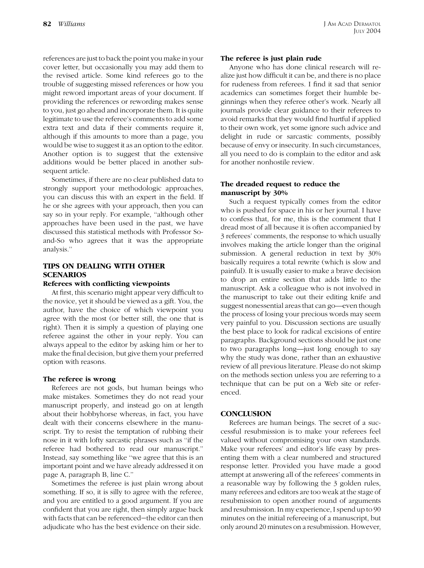references are just to back the point you make in your cover letter, but occasionally you may add them to the revised article. Some kind referees go to the trouble of suggesting missed references or how you might reword important areas of your document. If providing the references or rewording makes sense to you, just go ahead and incorporate them. It is quite legitimate to use the referee's comments to add some extra text and data if their comments require it, although if this amounts to more than a page, you would be wise to suggest it as an option to the editor. Another option is to suggest that the extensive additions would be better placed in another subsequent article.

Sometimes, if there are no clear published data to strongly support your methodologic approaches, you can discuss this with an expert in the field. If he or she agrees with your approach, then you can say so in your reply. For example, ''although other approaches have been used in the past, we have discussed this statistical methods with Professor Soand-So who agrees that it was the appropriate analysis.''

# TIPS ON DEALING WITH OTHER **SCENARIOS**

## Referees with conflicting viewpoints

At first, this scenario might appear very difficult to the novice, yet it should be viewed as a gift. You, the author, have the choice of which viewpoint you agree with the most (or better still, the one that is right). Then it is simply a question of playing one referee against the other in your reply. You can always appeal to the editor by asking him or her to make the final decision, but give them your preferred option with reasons.

#### The referee is wrong

Referees are not gods, but human beings who make mistakes. Sometimes they do not read your manuscript properly, and instead go on at length about their hobbyhorse whereas, in fact, you have dealt with their concerns elsewhere in the manuscript. Try to resist the temptation of rubbing their nose in it with lofty sarcastic phrases such as ''if the referee had bothered to read our manuscript.'' Instead, say something like ''we agree that this is an important point and we have already addressed it on page A, paragraph B, line C.''

Sometimes the referee is just plain wrong about something. If so, it is silly to agree with the referee, and you are entitled to a good argument. If you are confident that you are right, then simply argue back with facts that can be referenced-the editor can then adjudicate who has the best evidence on their side.

## The referee is just plain rude

Anyone who has done clinical research will realize just how difficult it can be, and there is no place for rudeness from referees. I find it sad that senior academics can sometimes forget their humble beginnings when they referee other's work. Nearly all journals provide clear guidance to their referees to avoid remarks that they would find hurtful if applied to their own work, yet some ignore such advice and delight in rude or sarcastic comments, possibly because of envy or insecurity. In such circumstances, all you need to do is complain to the editor and ask for another nonhostile review.

# The dreaded request to reduce the manuscript by 30%

Such a request typically comes from the editor who is pushed for space in his or her journal. I have to confess that, for me, this is the comment that I dread most of all because it is often accompanied by 3 referees' comments, the response to which usually involves making the article longer than the original submission. A general reduction in text by 30% basically requires a total rewrite (which is slow and painful). It is usually easier to make a brave decision to drop an entire section that adds little to the manuscript. Ask a colleague who is not involved in the manuscript to take out their editing knife and suggest nonessential areas that can go—even though the process of losing your precious words may seem very painful to you. Discussion sections are usually the best place to look for radical excisions of entire paragraphs. Background sections should be just one to two paragraphs long—just long enough to say why the study was done, rather than an exhaustive review of all previous literature. Please do not skimp on the methods section unless you are referring to a technique that can be put on a Web site or referenced.

## **CONCLUSION**

Referees are human beings. The secret of a successful resubmission is to make your referees feel valued without compromising your own standards. Make your referees' and editor's life easy by presenting them with a clear numbered and structured response letter. Provided you have made a good attempt at answering all of the referees' comments in a reasonable way by following the 3 golden rules, many referees and editors are too weak at the stage of resubmission to open another round of arguments and resubmission. In my experience, I spend up to 90 minutes on the initial refereeing of a manuscript, but only around 20 minutes on a resubmission. However,